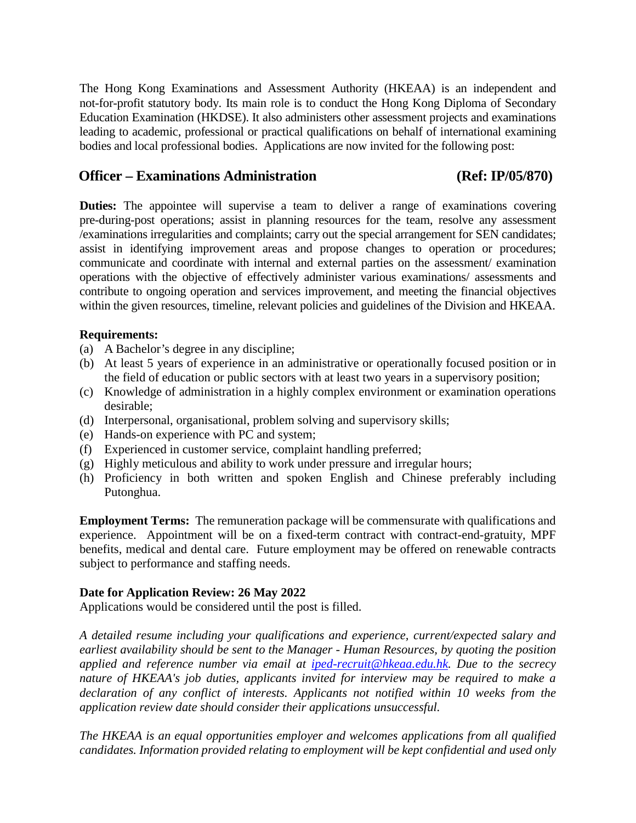The Hong Kong Examinations and Assessment Authority (HKEAA) is an independent and not-for-profit statutory body. Its main role is to conduct the Hong Kong Diploma of Secondary Education Examination (HKDSE). It also administers other assessment projects and examinations leading to academic, professional or practical qualifications on behalf of international examining bodies and local professional bodies. Applications are now invited for the following post:

## **Officer – Examinations Administration (Ref: IP/05/870)**

**Duties:** The appointee will supervise a team to deliver a range of examinations covering pre-during-post operations; assist in planning resources for the team, resolve any assessment /examinations irregularities and complaints; carry out the special arrangement for SEN candidates; assist in identifying improvement areas and propose changes to operation or procedures; communicate and coordinate with internal and external parties on the assessment/ examination operations with the objective of effectively administer various examinations/ assessments and contribute to ongoing operation and services improvement, and meeting the financial objectives within the given resources, timeline, relevant policies and guidelines of the Division and HKEAA.

## **Requirements:**

- (a) A Bachelor's degree in any discipline;
- (b) At least 5 years of experience in an administrative or operationally focused position or in the field of education or public sectors with at least two years in a supervisory position;
- (c) Knowledge of administration in a highly complex environment or examination operations desirable;
- (d) Interpersonal, organisational, problem solving and supervisory skills;
- (e) Hands-on experience with PC and system;
- (f) Experienced in customer service, complaint handling preferred;
- (g) Highly meticulous and ability to work under pressure and irregular hours;
- (h) Proficiency in both written and spoken English and Chinese preferably including Putonghua.

**Employment Terms:** The remuneration package will be commensurate with qualifications and experience. Appointment will be on a fixed-term contract with contract-end-gratuity, MPF benefits, medical and dental care. Future employment may be offered on renewable contracts subject to performance and staffing needs.

## **Date for Application Review: 26 May 2022**

Applications would be considered until the post is filled.

*A detailed resume including your qualifications and experience, current/expected salary and earliest availability should be sent to the Manager - Human Resources, by quoting the position applied and reference number via email at [iped-recruit@hkeaa.edu.hk.](mailto:iped-recruit@hkeaa.edu.hk) Due to the secrecy nature of HKEAA's job duties, applicants invited for interview may be required to make a declaration of any conflict of interests. Applicants not notified within 10 weeks from the application review date should consider their applications unsuccessful.* 

*The HKEAA is an equal opportunities employer and welcomes applications from all qualified candidates. Information provided relating to employment will be kept confidential and used only*